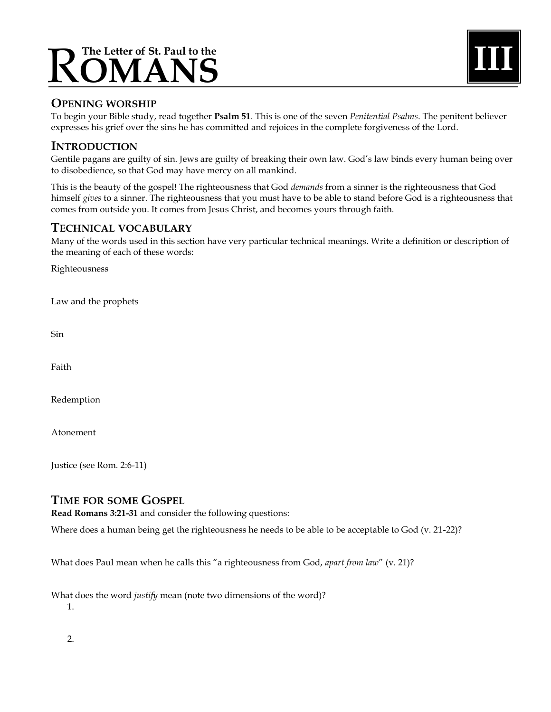# The Letter of St. Paul to the<br>**OMANS**



## **OPENING WORSHIP**

To begin your Bible study, read together **Psalm 51**. This is one of the seven *Penitential Psalms*. The penitent believer expresses his grief over the sins he has committed and rejoices in the complete forgiveness of the Lord.

### **INTRODUCTION**

Gentile pagans are guilty of sin. Jews are guilty of breaking their own law. God's law binds every human being over to disobedience, so that God may have mercy on all mankind.

This is the beauty of the gospel! The righteousness that God *demands* from a sinner is the righteousness that God himself *gives* to a sinner. The righteousness that you must have to be able to stand before God is a righteousness that comes from outside you. It comes from Jesus Christ, and becomes yours through faith.

### **TECHNICAL VOCABULARY**

Many of the words used in this section have very particular technical meanings. Write a definition or description of the meaning of each of these words:

Righteousness

Law and the prophets

Sin

Faith

Redemption

Atonement

Justice (see Rom. 2:6-11)

## **TIME FOR SOME GOSPEL**

**Read Romans 3:21-31** and consider the following questions:

Where does a human being get the righteousness he needs to be able to be acceptable to God (v. 21-22)?

What does Paul mean when he calls this "a righteousness from God, *apart from law*" (v. 21)?

What does the word *justify* mean (note two dimensions of the word)?

1.

2.